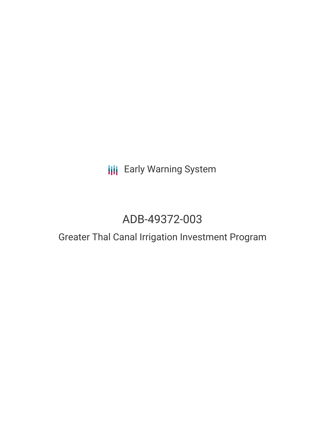# **III** Early Warning System

# ADB-49372-003

## Greater Thal Canal Irrigation Investment Program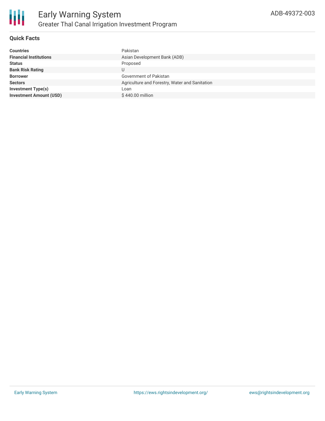

#### **Quick Facts**

| <b>Financial Institutions</b><br>Asian Development Bank (ADB)<br>Proposed<br><b>Status</b> | <b>Countries</b>        | Pakistan |
|--------------------------------------------------------------------------------------------|-------------------------|----------|
|                                                                                            |                         |          |
|                                                                                            |                         |          |
|                                                                                            | <b>Bank Risk Rating</b> |          |
| Government of Pakistan<br><b>Borrower</b>                                                  |                         |          |
| Agriculture and Forestry, Water and Sanitation<br><b>Sectors</b>                           |                         |          |
| <b>Investment Type(s)</b><br>Loan                                                          |                         |          |
| <b>Investment Amount (USD)</b><br>\$440.00 million                                         |                         |          |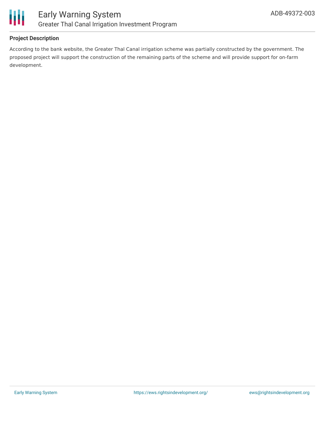

#### **Project Description**

According to the bank website, the Greater Thal Canal irrigation scheme was partially constructed by the government. The proposed project will support the construction of the remaining parts of the scheme and will provide support for on-farm development.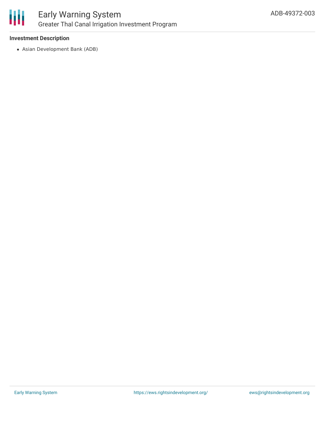

## Early Warning System Greater Thal Canal Irrigation Investment Program

#### **Investment Description**

Asian Development Bank (ADB)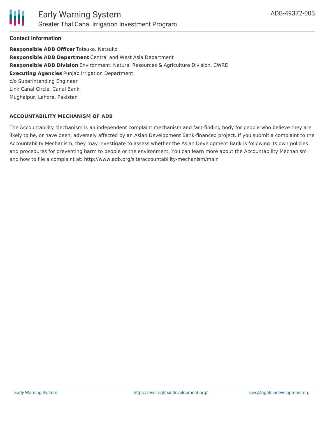

#### **Contact Information**

**Responsible ADB Officer** Totsuka, Natsuko **Responsible ADB Department** Central and West Asia Department **Responsible ADB Division** Environment, Natural Resources & Agriculture Division, CWRD **Executing Agencies** Punjab Irrigation Department c/o Superintending Engineer Link Canal Circle, Canal Bank Mughalpur, Lahore, Pakistan

#### **ACCOUNTABILITY MECHANISM OF ADB**

The Accountability Mechanism is an independent complaint mechanism and fact-finding body for people who believe they are likely to be, or have been, adversely affected by an Asian Development Bank-financed project. If you submit a complaint to the Accountability Mechanism, they may investigate to assess whether the Asian Development Bank is following its own policies and procedures for preventing harm to people or the environment. You can learn more about the Accountability Mechanism and how to file a complaint at: http://www.adb.org/site/accountability-mechanism/main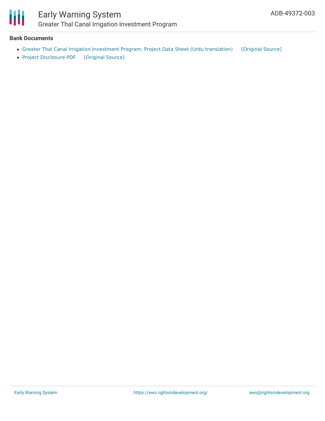

### Early Warning System Greater Thal Canal Irrigation Investment Program

#### **Bank Documents**

- Greater Thal Canal Irrigation Investment Program: Project Data Sheet (Urdu [translation\)](https://ewsdata.rightsindevelopment.org/files/documents/03/ADB-49372-003_ez6jRZE.pdf) [\[Original](https://www.adb.org/ur/projects/documents/pak-49372-003-pds) Source]
- Project [Disclosure](https://ewsdata.rightsindevelopment.org/files/documents/03/ADB-49372-003.pdf) PDF [\[Original](https://www.adb.org/printpdf/projects/49372-003/main) Source]